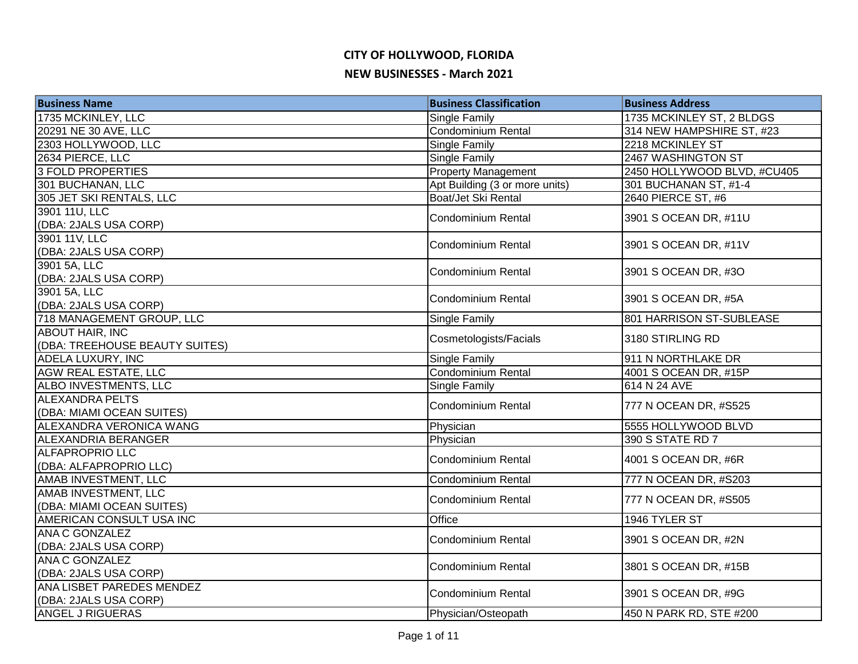| 1735 MCKINLEY, LLC<br>Single Family<br>1735 MCKINLEY ST, 2 BLDGS<br>Condominium Rental<br>20291 NE 30 AVE, LLC<br>314 NEW HAMPSHIRE ST, #23<br>2218 MCKINLEY ST<br>2303 HOLLYWOOD, LLC<br>Single Family<br>2634 PIERCE, LLC<br>2467 WASHINGTON ST<br><b>Single Family</b><br><b>3 FOLD PROPERTIES</b><br><b>Property Management</b><br>2450 HOLLYWOOD BLVD, #CU405<br>301 BUCHANAN, LLC<br>301 BUCHANAN ST, #1-4<br>Apt Building (3 or more units)<br>2640 PIERCE ST, #6<br>305 JET SKI RENTALS, LLC<br>Boat/Jet Ski Rental<br>3901 11U, LLC<br><b>Condominium Rental</b><br>3901 S OCEAN DR, #11U<br>(DBA: 2JALS USA CORP)<br>3901 11V, LLC<br><b>Condominium Rental</b><br>3901 S OCEAN DR, #11V<br>(DBA: 2JALS USA CORP)<br>3901 5A, LLC<br>3901 S OCEAN DR, #3O<br><b>Condominium Rental</b><br>(DBA: 2JALS USA CORP)<br>3901 5A, LLC<br>3901 S OCEAN DR, #5A<br><b>Condominium Rental</b><br>(DBA: 2JALS USA CORP)<br>718 MANAGEMENT GROUP, LLC<br>801 HARRISON ST-SUBLEASE<br>Single Family<br><b>ABOUT HAIR, INC</b><br>3180 STIRLING RD<br>Cosmetologists/Facials<br>(DBA: TREEHOUSE BEAUTY SUITES)<br><b>ADELA LUXURY, INC</b><br>Single Family<br>911 N NORTHLAKE DR<br>Condominium Rental<br>AGW REAL ESTATE, LLC<br>4001 S OCEAN DR, #15P<br>ALBO INVESTMENTS, LLC<br>614 N 24 AVE<br>Single Family<br><b>ALEXANDRA PELTS</b><br><b>Condominium Rental</b><br>777 N OCEAN DR, #S525<br>(DBA: MIAMI OCEAN SUITES)<br>ALEXANDRA VERONICA WANG<br>Physician<br>5555 HOLLYWOOD BLVD<br>390 S STATE RD 7<br><b>ALEXANDRIA BERANGER</b><br>Physician<br><b>ALFAPROPRIO LLC</b><br>Condominium Rental<br>4001 S OCEAN DR, #6R<br>(DBA: ALFAPROPRIO LLC)<br>AMAB INVESTMENT, LLC<br>777 N OCEAN DR, #S203<br><b>Condominium Rental</b><br>AMAB INVESTMENT, LLC<br>777 N OCEAN DR, #S505<br><b>Condominium Rental</b><br>(DBA: MIAMI OCEAN SUITES)<br>Office<br>AMERICAN CONSULT USA INC<br>1946 TYLER ST<br>ANA C GONZALEZ<br><b>Condominium Rental</b><br>3901 S OCEAN DR, #2N<br>(DBA: 2JALS USA CORP)<br><b>ANA C GONZALEZ</b><br>3801 S OCEAN DR, #15B<br><b>Condominium Rental</b><br>(DBA: 2JALS USA CORP)<br>ANA LISBET PAREDES MENDEZ<br>3901 S OCEAN DR, #9G<br><b>Condominium Rental</b><br>(DBA: 2JALS USA CORP)<br>ANGEL J RIGUERAS<br>450 N PARK RD, STE #200<br>Physician/Osteopath | <b>Business Name</b> | <b>Business Classification</b> | <b>Business Address</b> |
|-------------------------------------------------------------------------------------------------------------------------------------------------------------------------------------------------------------------------------------------------------------------------------------------------------------------------------------------------------------------------------------------------------------------------------------------------------------------------------------------------------------------------------------------------------------------------------------------------------------------------------------------------------------------------------------------------------------------------------------------------------------------------------------------------------------------------------------------------------------------------------------------------------------------------------------------------------------------------------------------------------------------------------------------------------------------------------------------------------------------------------------------------------------------------------------------------------------------------------------------------------------------------------------------------------------------------------------------------------------------------------------------------------------------------------------------------------------------------------------------------------------------------------------------------------------------------------------------------------------------------------------------------------------------------------------------------------------------------------------------------------------------------------------------------------------------------------------------------------------------------------------------------------------------------------------------------------------------------------------------------------------------------------------------------------------------------------------------------------------------------------------------------------------------------------------------------------------------------------------------------------------------------------------------------------|----------------------|--------------------------------|-------------------------|
|                                                                                                                                                                                                                                                                                                                                                                                                                                                                                                                                                                                                                                                                                                                                                                                                                                                                                                                                                                                                                                                                                                                                                                                                                                                                                                                                                                                                                                                                                                                                                                                                                                                                                                                                                                                                                                                                                                                                                                                                                                                                                                                                                                                                                                                                                                       |                      |                                |                         |
|                                                                                                                                                                                                                                                                                                                                                                                                                                                                                                                                                                                                                                                                                                                                                                                                                                                                                                                                                                                                                                                                                                                                                                                                                                                                                                                                                                                                                                                                                                                                                                                                                                                                                                                                                                                                                                                                                                                                                                                                                                                                                                                                                                                                                                                                                                       |                      |                                |                         |
|                                                                                                                                                                                                                                                                                                                                                                                                                                                                                                                                                                                                                                                                                                                                                                                                                                                                                                                                                                                                                                                                                                                                                                                                                                                                                                                                                                                                                                                                                                                                                                                                                                                                                                                                                                                                                                                                                                                                                                                                                                                                                                                                                                                                                                                                                                       |                      |                                |                         |
|                                                                                                                                                                                                                                                                                                                                                                                                                                                                                                                                                                                                                                                                                                                                                                                                                                                                                                                                                                                                                                                                                                                                                                                                                                                                                                                                                                                                                                                                                                                                                                                                                                                                                                                                                                                                                                                                                                                                                                                                                                                                                                                                                                                                                                                                                                       |                      |                                |                         |
|                                                                                                                                                                                                                                                                                                                                                                                                                                                                                                                                                                                                                                                                                                                                                                                                                                                                                                                                                                                                                                                                                                                                                                                                                                                                                                                                                                                                                                                                                                                                                                                                                                                                                                                                                                                                                                                                                                                                                                                                                                                                                                                                                                                                                                                                                                       |                      |                                |                         |
|                                                                                                                                                                                                                                                                                                                                                                                                                                                                                                                                                                                                                                                                                                                                                                                                                                                                                                                                                                                                                                                                                                                                                                                                                                                                                                                                                                                                                                                                                                                                                                                                                                                                                                                                                                                                                                                                                                                                                                                                                                                                                                                                                                                                                                                                                                       |                      |                                |                         |
|                                                                                                                                                                                                                                                                                                                                                                                                                                                                                                                                                                                                                                                                                                                                                                                                                                                                                                                                                                                                                                                                                                                                                                                                                                                                                                                                                                                                                                                                                                                                                                                                                                                                                                                                                                                                                                                                                                                                                                                                                                                                                                                                                                                                                                                                                                       |                      |                                |                         |
|                                                                                                                                                                                                                                                                                                                                                                                                                                                                                                                                                                                                                                                                                                                                                                                                                                                                                                                                                                                                                                                                                                                                                                                                                                                                                                                                                                                                                                                                                                                                                                                                                                                                                                                                                                                                                                                                                                                                                                                                                                                                                                                                                                                                                                                                                                       |                      |                                |                         |
|                                                                                                                                                                                                                                                                                                                                                                                                                                                                                                                                                                                                                                                                                                                                                                                                                                                                                                                                                                                                                                                                                                                                                                                                                                                                                                                                                                                                                                                                                                                                                                                                                                                                                                                                                                                                                                                                                                                                                                                                                                                                                                                                                                                                                                                                                                       |                      |                                |                         |
|                                                                                                                                                                                                                                                                                                                                                                                                                                                                                                                                                                                                                                                                                                                                                                                                                                                                                                                                                                                                                                                                                                                                                                                                                                                                                                                                                                                                                                                                                                                                                                                                                                                                                                                                                                                                                                                                                                                                                                                                                                                                                                                                                                                                                                                                                                       |                      |                                |                         |
|                                                                                                                                                                                                                                                                                                                                                                                                                                                                                                                                                                                                                                                                                                                                                                                                                                                                                                                                                                                                                                                                                                                                                                                                                                                                                                                                                                                                                                                                                                                                                                                                                                                                                                                                                                                                                                                                                                                                                                                                                                                                                                                                                                                                                                                                                                       |                      |                                |                         |
|                                                                                                                                                                                                                                                                                                                                                                                                                                                                                                                                                                                                                                                                                                                                                                                                                                                                                                                                                                                                                                                                                                                                                                                                                                                                                                                                                                                                                                                                                                                                                                                                                                                                                                                                                                                                                                                                                                                                                                                                                                                                                                                                                                                                                                                                                                       |                      |                                |                         |
|                                                                                                                                                                                                                                                                                                                                                                                                                                                                                                                                                                                                                                                                                                                                                                                                                                                                                                                                                                                                                                                                                                                                                                                                                                                                                                                                                                                                                                                                                                                                                                                                                                                                                                                                                                                                                                                                                                                                                                                                                                                                                                                                                                                                                                                                                                       |                      |                                |                         |
|                                                                                                                                                                                                                                                                                                                                                                                                                                                                                                                                                                                                                                                                                                                                                                                                                                                                                                                                                                                                                                                                                                                                                                                                                                                                                                                                                                                                                                                                                                                                                                                                                                                                                                                                                                                                                                                                                                                                                                                                                                                                                                                                                                                                                                                                                                       |                      |                                |                         |
|                                                                                                                                                                                                                                                                                                                                                                                                                                                                                                                                                                                                                                                                                                                                                                                                                                                                                                                                                                                                                                                                                                                                                                                                                                                                                                                                                                                                                                                                                                                                                                                                                                                                                                                                                                                                                                                                                                                                                                                                                                                                                                                                                                                                                                                                                                       |                      |                                |                         |
|                                                                                                                                                                                                                                                                                                                                                                                                                                                                                                                                                                                                                                                                                                                                                                                                                                                                                                                                                                                                                                                                                                                                                                                                                                                                                                                                                                                                                                                                                                                                                                                                                                                                                                                                                                                                                                                                                                                                                                                                                                                                                                                                                                                                                                                                                                       |                      |                                |                         |
|                                                                                                                                                                                                                                                                                                                                                                                                                                                                                                                                                                                                                                                                                                                                                                                                                                                                                                                                                                                                                                                                                                                                                                                                                                                                                                                                                                                                                                                                                                                                                                                                                                                                                                                                                                                                                                                                                                                                                                                                                                                                                                                                                                                                                                                                                                       |                      |                                |                         |
|                                                                                                                                                                                                                                                                                                                                                                                                                                                                                                                                                                                                                                                                                                                                                                                                                                                                                                                                                                                                                                                                                                                                                                                                                                                                                                                                                                                                                                                                                                                                                                                                                                                                                                                                                                                                                                                                                                                                                                                                                                                                                                                                                                                                                                                                                                       |                      |                                |                         |
|                                                                                                                                                                                                                                                                                                                                                                                                                                                                                                                                                                                                                                                                                                                                                                                                                                                                                                                                                                                                                                                                                                                                                                                                                                                                                                                                                                                                                                                                                                                                                                                                                                                                                                                                                                                                                                                                                                                                                                                                                                                                                                                                                                                                                                                                                                       |                      |                                |                         |
|                                                                                                                                                                                                                                                                                                                                                                                                                                                                                                                                                                                                                                                                                                                                                                                                                                                                                                                                                                                                                                                                                                                                                                                                                                                                                                                                                                                                                                                                                                                                                                                                                                                                                                                                                                                                                                                                                                                                                                                                                                                                                                                                                                                                                                                                                                       |                      |                                |                         |
|                                                                                                                                                                                                                                                                                                                                                                                                                                                                                                                                                                                                                                                                                                                                                                                                                                                                                                                                                                                                                                                                                                                                                                                                                                                                                                                                                                                                                                                                                                                                                                                                                                                                                                                                                                                                                                                                                                                                                                                                                                                                                                                                                                                                                                                                                                       |                      |                                |                         |
|                                                                                                                                                                                                                                                                                                                                                                                                                                                                                                                                                                                                                                                                                                                                                                                                                                                                                                                                                                                                                                                                                                                                                                                                                                                                                                                                                                                                                                                                                                                                                                                                                                                                                                                                                                                                                                                                                                                                                                                                                                                                                                                                                                                                                                                                                                       |                      |                                |                         |
|                                                                                                                                                                                                                                                                                                                                                                                                                                                                                                                                                                                                                                                                                                                                                                                                                                                                                                                                                                                                                                                                                                                                                                                                                                                                                                                                                                                                                                                                                                                                                                                                                                                                                                                                                                                                                                                                                                                                                                                                                                                                                                                                                                                                                                                                                                       |                      |                                |                         |
|                                                                                                                                                                                                                                                                                                                                                                                                                                                                                                                                                                                                                                                                                                                                                                                                                                                                                                                                                                                                                                                                                                                                                                                                                                                                                                                                                                                                                                                                                                                                                                                                                                                                                                                                                                                                                                                                                                                                                                                                                                                                                                                                                                                                                                                                                                       |                      |                                |                         |
|                                                                                                                                                                                                                                                                                                                                                                                                                                                                                                                                                                                                                                                                                                                                                                                                                                                                                                                                                                                                                                                                                                                                                                                                                                                                                                                                                                                                                                                                                                                                                                                                                                                                                                                                                                                                                                                                                                                                                                                                                                                                                                                                                                                                                                                                                                       |                      |                                |                         |
|                                                                                                                                                                                                                                                                                                                                                                                                                                                                                                                                                                                                                                                                                                                                                                                                                                                                                                                                                                                                                                                                                                                                                                                                                                                                                                                                                                                                                                                                                                                                                                                                                                                                                                                                                                                                                                                                                                                                                                                                                                                                                                                                                                                                                                                                                                       |                      |                                |                         |
|                                                                                                                                                                                                                                                                                                                                                                                                                                                                                                                                                                                                                                                                                                                                                                                                                                                                                                                                                                                                                                                                                                                                                                                                                                                                                                                                                                                                                                                                                                                                                                                                                                                                                                                                                                                                                                                                                                                                                                                                                                                                                                                                                                                                                                                                                                       |                      |                                |                         |
|                                                                                                                                                                                                                                                                                                                                                                                                                                                                                                                                                                                                                                                                                                                                                                                                                                                                                                                                                                                                                                                                                                                                                                                                                                                                                                                                                                                                                                                                                                                                                                                                                                                                                                                                                                                                                                                                                                                                                                                                                                                                                                                                                                                                                                                                                                       |                      |                                |                         |
|                                                                                                                                                                                                                                                                                                                                                                                                                                                                                                                                                                                                                                                                                                                                                                                                                                                                                                                                                                                                                                                                                                                                                                                                                                                                                                                                                                                                                                                                                                                                                                                                                                                                                                                                                                                                                                                                                                                                                                                                                                                                                                                                                                                                                                                                                                       |                      |                                |                         |
|                                                                                                                                                                                                                                                                                                                                                                                                                                                                                                                                                                                                                                                                                                                                                                                                                                                                                                                                                                                                                                                                                                                                                                                                                                                                                                                                                                                                                                                                                                                                                                                                                                                                                                                                                                                                                                                                                                                                                                                                                                                                                                                                                                                                                                                                                                       |                      |                                |                         |
|                                                                                                                                                                                                                                                                                                                                                                                                                                                                                                                                                                                                                                                                                                                                                                                                                                                                                                                                                                                                                                                                                                                                                                                                                                                                                                                                                                                                                                                                                                                                                                                                                                                                                                                                                                                                                                                                                                                                                                                                                                                                                                                                                                                                                                                                                                       |                      |                                |                         |
|                                                                                                                                                                                                                                                                                                                                                                                                                                                                                                                                                                                                                                                                                                                                                                                                                                                                                                                                                                                                                                                                                                                                                                                                                                                                                                                                                                                                                                                                                                                                                                                                                                                                                                                                                                                                                                                                                                                                                                                                                                                                                                                                                                                                                                                                                                       |                      |                                |                         |
|                                                                                                                                                                                                                                                                                                                                                                                                                                                                                                                                                                                                                                                                                                                                                                                                                                                                                                                                                                                                                                                                                                                                                                                                                                                                                                                                                                                                                                                                                                                                                                                                                                                                                                                                                                                                                                                                                                                                                                                                                                                                                                                                                                                                                                                                                                       |                      |                                |                         |
|                                                                                                                                                                                                                                                                                                                                                                                                                                                                                                                                                                                                                                                                                                                                                                                                                                                                                                                                                                                                                                                                                                                                                                                                                                                                                                                                                                                                                                                                                                                                                                                                                                                                                                                                                                                                                                                                                                                                                                                                                                                                                                                                                                                                                                                                                                       |                      |                                |                         |
|                                                                                                                                                                                                                                                                                                                                                                                                                                                                                                                                                                                                                                                                                                                                                                                                                                                                                                                                                                                                                                                                                                                                                                                                                                                                                                                                                                                                                                                                                                                                                                                                                                                                                                                                                                                                                                                                                                                                                                                                                                                                                                                                                                                                                                                                                                       |                      |                                |                         |
|                                                                                                                                                                                                                                                                                                                                                                                                                                                                                                                                                                                                                                                                                                                                                                                                                                                                                                                                                                                                                                                                                                                                                                                                                                                                                                                                                                                                                                                                                                                                                                                                                                                                                                                                                                                                                                                                                                                                                                                                                                                                                                                                                                                                                                                                                                       |                      |                                |                         |
|                                                                                                                                                                                                                                                                                                                                                                                                                                                                                                                                                                                                                                                                                                                                                                                                                                                                                                                                                                                                                                                                                                                                                                                                                                                                                                                                                                                                                                                                                                                                                                                                                                                                                                                                                                                                                                                                                                                                                                                                                                                                                                                                                                                                                                                                                                       |                      |                                |                         |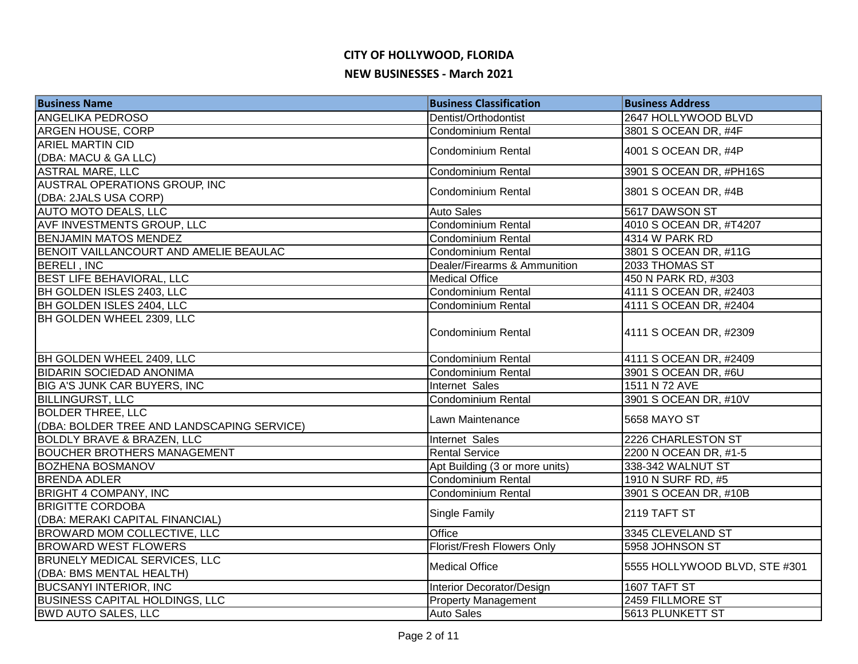# **CITY OF HOLLYWOOD, FLORIDA**

#### **NEW BUSINESSES - March 2021**

| <b>Business Name</b>                       | <b>Business Classification</b> | <b>Business Address</b>       |
|--------------------------------------------|--------------------------------|-------------------------------|
| <b>ANGELIKA PEDROSO</b>                    | Dentist/Orthodontist           | 2647 HOLLYWOOD BLVD           |
| <b>ARGEN HOUSE, CORP</b>                   | <b>Condominium Rental</b>      | 3801 S OCEAN DR, #4F          |
| <b>ARIEL MARTIN CID</b>                    | <b>Condominium Rental</b>      | 4001 S OCEAN DR, #4P          |
| (DBA: MACU & GA LLC)                       |                                |                               |
| <b>ASTRAL MARE, LLC</b>                    | <b>Condominium Rental</b>      | 3901 S OCEAN DR, #PH16S       |
| AUSTRAL OPERATIONS GROUP, INC              | <b>Condominium Rental</b>      | 3801 S OCEAN DR, #4B          |
| (DBA: 2JALS USA CORP)                      |                                |                               |
| <b>AUTO MOTO DEALS, LLC</b>                | <b>Auto Sales</b>              | 5617 DAWSON ST                |
| AVF INVESTMENTS GROUP, LLC                 | Condominium Rental             | 4010 S OCEAN DR, #T4207       |
| <b>BENJAMIN MATOS MENDEZ</b>               | Condominium Rental             | 4314 W PARK RD                |
| BENOIT VAILLANCOURT AND AMELIE BEAULAC     | Condominium Rental             | 3801 S OCEAN DR, #11G         |
| <b>BERELI, INC</b>                         | Dealer/Firearms & Ammunition   | 2033 THOMAS ST                |
| <b>BEST LIFE BEHAVIORAL, LLC</b>           | <b>Medical Office</b>          | 450 N PARK RD, #303           |
| BH GOLDEN ISLES 2403, LLC                  | Condominium Rental             | 4111 S OCEAN DR, #2403        |
| BH GOLDEN ISLES 2404, LLC                  | <b>Condominium Rental</b>      | 4111 S OCEAN DR, #2404        |
| BH GOLDEN WHEEL 2309, LLC                  |                                |                               |
|                                            | <b>Condominium Rental</b>      | 4111 S OCEAN DR, #2309        |
|                                            |                                |                               |
| BH GOLDEN WHEEL 2409, LLC                  | Condominium Rental             | 4111 S OCEAN DR, #2409        |
| <b>BIDARIN SOCIEDAD ANONIMA</b>            | Condominium Rental             | 3901 S OCEAN DR, #6U          |
| <b>BIG A'S JUNK CAR BUYERS, INC</b>        | Internet Sales                 | 1511 N 72 AVE                 |
| <b>BILLINGURST, LLC</b>                    | Condominium Rental             | 3901 S OCEAN DR, #10V         |
| <b>BOLDER THREE, LLC</b>                   |                                |                               |
| (DBA: BOLDER TREE AND LANDSCAPING SERVICE) | Lawn Maintenance               | 5658 MAYO ST                  |
| <b>BOLDLY BRAVE &amp; BRAZEN, LLC</b>      | Internet Sales                 | 2226 CHARLESTON ST            |
| <b>BOUCHER BROTHERS MANAGEMENT</b>         | <b>Rental Service</b>          | 2200 N OCEAN DR, #1-5         |
| <b>BOZHENA BOSMANOV</b>                    | Apt Building (3 or more units) | 338-342 WALNUT ST             |
| <b>BRENDA ADLER</b>                        | Condominium Rental             | 1910 N SURF RD, #5            |
| <b>BRIGHT 4 COMPANY, INC</b>               | <b>Condominium Rental</b>      | 3901 S OCEAN DR, #10B         |
| <b>BRIGITTE CORDOBA</b>                    |                                |                               |
| (DBA: MERAKI CAPITAL FINANCIAL)            | Single Family                  | 2119 TAFT ST                  |
| <b>BROWARD MOM COLLECTIVE, LLC</b>         | Office                         | 3345 CLEVELAND ST             |
| <b>BROWARD WEST FLOWERS</b>                | Florist/Fresh Flowers Only     | 5958 JOHNSON ST               |
| <b>BRUNELY MEDICAL SERVICES, LLC</b>       |                                |                               |
| (DBA: BMS MENTAL HEALTH)                   | <b>Medical Office</b>          | 5555 HOLLYWOOD BLVD, STE #301 |
| <b>BUCSANYI INTERIOR, INC</b>              | Interior Decorator/Design      | 1607 TAFT ST                  |
| <b>BUSINESS CAPITAL HOLDINGS, LLC</b>      | <b>Property Management</b>     | 2459 FILLMORE ST              |
| <b>BWD AUTO SALES, LLC</b>                 | <b>Auto Sales</b>              | 5613 PLUNKETT ST              |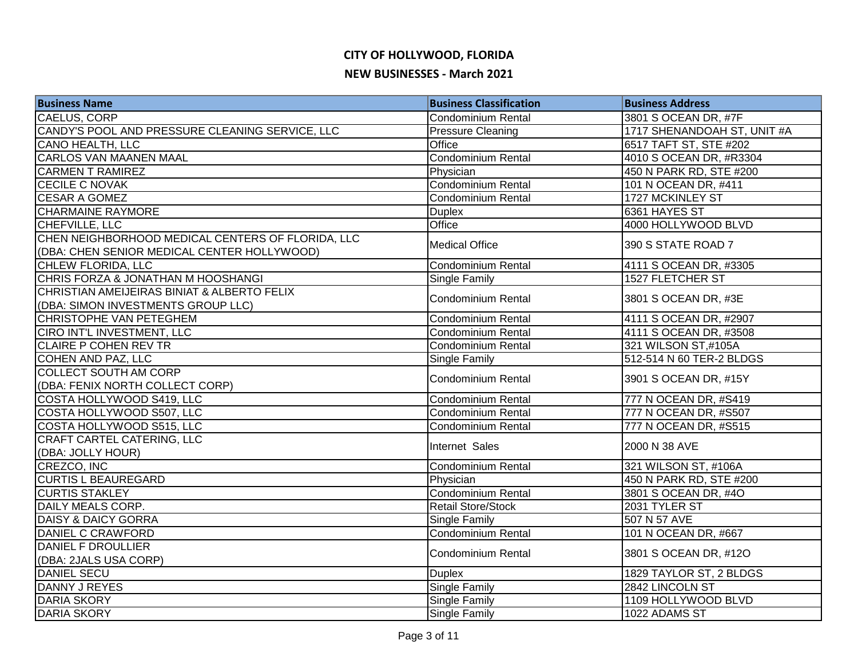| <b>Business Name</b>                              | <b>Business Classification</b> | <b>Business Address</b>     |
|---------------------------------------------------|--------------------------------|-----------------------------|
| CAELUS, CORP                                      | Condominium Rental             | 3801 S OCEAN DR, #7F        |
| CANDY'S POOL AND PRESSURE CLEANING SERVICE, LLC   | <b>Pressure Cleaning</b>       | 1717 SHENANDOAH ST, UNIT #A |
| CANO HEALTH, LLC                                  | Office                         | 6517 TAFT ST, STE #202      |
| <b>CARLOS VAN MAANEN MAAL</b>                     | <b>Condominium Rental</b>      | 4010 S OCEAN DR, #R3304     |
| <b>CARMEN T RAMIREZ</b>                           | Physician                      | 450 N PARK RD, STE #200     |
| <b>CECILE C NOVAK</b>                             | <b>Condominium Rental</b>      | 101 N OCEAN DR, #411        |
| <b>CESAR A GOMEZ</b>                              | <b>Condominium Rental</b>      | 1727 MCKINLEY ST            |
| <b>CHARMAINE RAYMORE</b>                          | <b>Duplex</b>                  | 6361 HAYES ST               |
| CHEFVILLE, LLC                                    | Office                         | 4000 HOLLYWOOD BLVD         |
| CHEN NEIGHBORHOOD MEDICAL CENTERS OF FLORIDA, LLC | <b>Medical Office</b>          | 390 S STATE ROAD 7          |
| (DBA: CHEN SENIOR MEDICAL CENTER HOLLYWOOD)       |                                |                             |
| CHLEW FLORIDA, LLC                                | Condominium Rental             | 4111 S OCEAN DR, #3305      |
| CHRIS FORZA & JONATHAN M HOOSHANGI                | Single Family                  | 1527 FLETCHER ST            |
| CHRISTIAN AMEIJEIRAS BINIAT & ALBERTO FELIX       | <b>Condominium Rental</b>      | 3801 S OCEAN DR, #3E        |
| (DBA: SIMON INVESTMENTS GROUP LLC)                |                                |                             |
| CHRISTOPHE VAN PETEGHEM                           | Condominium Rental             | 4111 S OCEAN DR, #2907      |
| CIRO INT'L INVESTMENT, LLC                        | <b>Condominium Rental</b>      | 4111 S OCEAN DR, #3508      |
| <b>CLAIRE P COHEN REV TR</b>                      | Condominium Rental             | 321 WILSON ST,#105A         |
| COHEN AND PAZ, LLC                                | Single Family                  | 512-514 N 60 TER-2 BLDGS    |
| <b>COLLECT SOUTH AM CORP</b>                      | Condominium Rental             | 3901 S OCEAN DR, #15Y       |
| (DBA: FENIX NORTH COLLECT CORP)                   |                                |                             |
| COSTA HOLLYWOOD S419, LLC                         | <b>Condominium Rental</b>      | 777 N OCEAN DR, #S419       |
| COSTA HOLLYWOOD S507, LLC                         | Condominium Rental             | 777 N OCEAN DR, #S507       |
| COSTA HOLLYWOOD S515, LLC                         | <b>Condominium Rental</b>      | 777 N OCEAN DR, #S515       |
| CRAFT CARTEL CATERING, LLC                        | Internet Sales                 | 2000 N 38 AVE               |
| (DBA: JOLLY HOUR)                                 |                                |                             |
| CREZCO, INC                                       | Condominium Rental             | 321 WILSON ST, #106A        |
| <b>CURTIS L BEAUREGARD</b>                        | Physician                      | 450 N PARK RD, STE #200     |
| <b>CURTIS STAKLEY</b>                             | <b>Condominium Rental</b>      | 3801 S OCEAN DR, #4O        |
| DAILY MEALS CORP.                                 | <b>Retail Store/Stock</b>      | 2031 TYLER ST               |
| <b>DAISY &amp; DAICY GORRA</b>                    | Single Family                  | 507 N 57 AVE                |
| DANIEL C CRAWFORD                                 | <b>Condominium Rental</b>      | 101 N OCEAN DR, #667        |
| <b>DANIEL F DROULLIER</b>                         | <b>Condominium Rental</b>      | 3801 S OCEAN DR, #12O       |
| (DBA: 2JALS USA CORP)                             |                                |                             |
| <b>DANIEL SECU</b>                                | <b>Duplex</b>                  | 1829 TAYLOR ST, 2 BLDGS     |
| DANNY J REYES                                     | Single Family                  | 2842 LINCOLN ST             |
| <b>DARIA SKORY</b>                                | Single Family                  | 1109 HOLLYWOOD BLVD         |
| <b>DARIA SKORY</b>                                | Single Family                  | 1022 ADAMS ST               |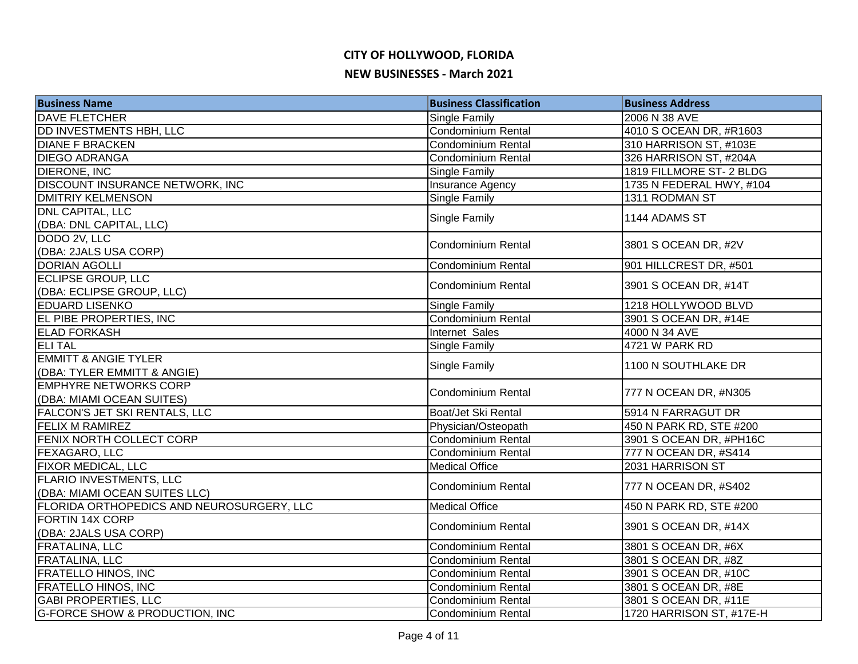| <b>Business Name</b>                      | <b>Business Classification</b> | <b>Business Address</b>  |
|-------------------------------------------|--------------------------------|--------------------------|
| <b>DAVE FLETCHER</b>                      | <b>Single Family</b>           | 2006 N 38 AVE            |
| <b>DD INVESTMENTS HBH, LLC</b>            | Condominium Rental             | 4010 S OCEAN DR, #R1603  |
| <b>DIANE F BRACKEN</b>                    | <b>Condominium Rental</b>      | 310 HARRISON ST, #103E   |
| <b>DIEGO ADRANGA</b>                      | <b>Condominium Rental</b>      | 326 HARRISON ST, #204A   |
| <b>DIERONE, INC</b>                       | Single Family                  | 1819 FILLMORE ST-2 BLDG  |
| DISCOUNT INSURANCE NETWORK, INC           | Insurance Agency               | 1735 N FEDERAL HWY, #104 |
| <b>DMITRIY KELMENSON</b>                  | <b>Single Family</b>           | 1311 RODMAN ST           |
| <b>DNL CAPITAL, LLC</b>                   | <b>Single Family</b>           | 1144 ADAMS ST            |
| (DBA: DNL CAPITAL, LLC)                   |                                |                          |
| DODO 2V, LLC                              | <b>Condominium Rental</b>      | 3801 S OCEAN DR, #2V     |
| (DBA: 2JALS USA CORP)                     |                                |                          |
| <b>DORIAN AGOLLI</b>                      | <b>Condominium Rental</b>      | 901 HILLCREST DR, #501   |
| <b>ECLIPSE GROUP, LLC</b>                 | <b>Condominium Rental</b>      | 3901 S OCEAN DR, #14T    |
| (DBA: ECLIPSE GROUP, LLC)                 |                                |                          |
| <b>EDUARD LISENKO</b>                     | <b>Single Family</b>           | 1218 HOLLYWOOD BLVD      |
| EL PIBE PROPERTIES, INC                   | Condominium Rental             | 3901 S OCEAN DR, #14E    |
| <b>ELAD FORKASH</b>                       | Internet Sales                 | 4000 N 34 AVE            |
| <b>ELITAL</b>                             | <b>Single Family</b>           | 4721 W PARK RD           |
| <b>EMMITT &amp; ANGIE TYLER</b>           | <b>Single Family</b>           | 1100 N SOUTHLAKE DR      |
| (DBA: TYLER EMMITT & ANGIE)               |                                |                          |
| <b>EMPHYRE NETWORKS CORP</b>              | <b>Condominium Rental</b>      | 777 N OCEAN DR, #N305    |
| (DBA: MIAMI OCEAN SUITES)                 |                                |                          |
| FALCON'S JET SKI RENTALS, LLC             | Boat/Jet Ski Rental            | 5914 N FARRAGUT DR       |
| <b>FELIX M RAMIREZ</b>                    | Physician/Osteopath            | 450 N PARK RD, STE #200  |
| FENIX NORTH COLLECT CORP                  | <b>Condominium Rental</b>      | 3901 S OCEAN DR, #PH16C  |
| FEXAGARO, LLC                             | Condominium Rental             | 777 N OCEAN DR, #S414    |
| <b>FIXOR MEDICAL, LLC</b>                 | <b>Medical Office</b>          | 2031 HARRISON ST         |
| <b>FLARIO INVESTMENTS, LLC</b>            | Condominium Rental             | 777 N OCEAN DR, #S402    |
| (DBA: MIAMI OCEAN SUITES LLC)             |                                |                          |
| FLORIDA ORTHOPEDICS AND NEUROSURGERY, LLC | <b>Medical Office</b>          | 450 N PARK RD, STE #200  |
| <b>FORTIN 14X CORP</b>                    | <b>Condominium Rental</b>      | 3901 S OCEAN DR, #14X    |
| (DBA: 2JALS USA CORP)                     |                                |                          |
| FRATALINA, LLC                            | <b>Condominium Rental</b>      | 3801 S OCEAN DR, #6X     |
| <b>FRATALINA, LLC</b>                     | <b>Condominium Rental</b>      | 3801 S OCEAN DR, #8Z     |
| <b>FRATELLO HINOS, INC</b>                | Condominium Rental             | 3901 S OCEAN DR, #10C    |
| <b>FRATELLO HINOS, INC</b>                | Condominium Rental             | 3801 S OCEAN DR, #8E     |
| <b>GABI PROPERTIES, LLC</b>               | <b>Condominium Rental</b>      | 3801 S OCEAN DR, #11E    |
| <b>G-FORCE SHOW &amp; PRODUCTION, INC</b> | Condominium Rental             | 1720 HARRISON ST, #17E-H |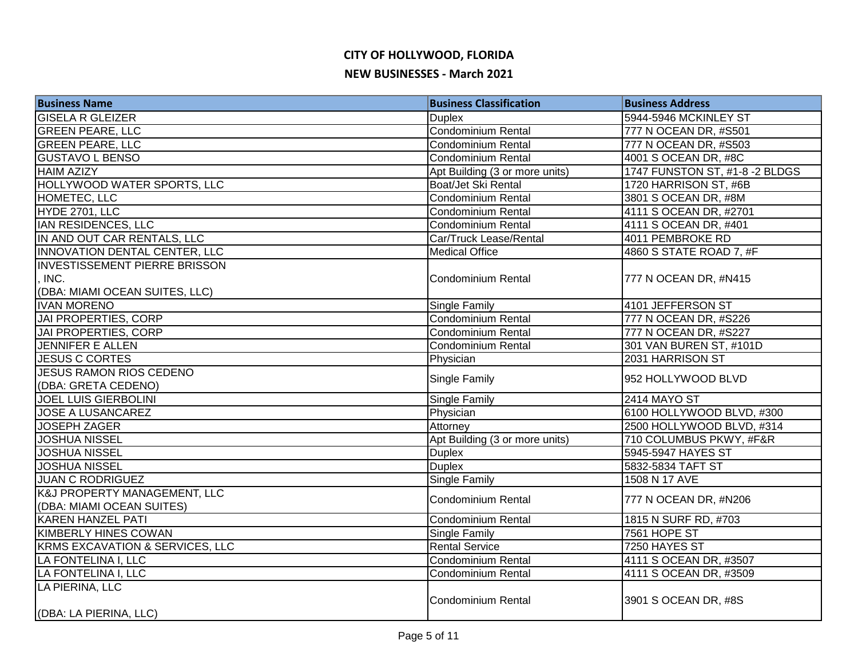| <b>Business Name</b>                 | <b>Business Classification</b> | <b>Business Address</b>        |
|--------------------------------------|--------------------------------|--------------------------------|
| <b>GISELA R GLEIZER</b>              | <b>Duplex</b>                  | 5944-5946 MCKINLEY ST          |
| <b>GREEN PEARE, LLC</b>              | <b>Condominium Rental</b>      | 777 N OCEAN DR, #S501          |
| <b>GREEN PEARE, LLC</b>              | <b>Condominium Rental</b>      | 777 N OCEAN DR, #S503          |
| <b>GUSTAVO L BENSO</b>               | <b>Condominium Rental</b>      | 4001 S OCEAN DR, #8C           |
| <b>HAIM AZIZY</b>                    | Apt Building (3 or more units) | 1747 FUNSTON ST, #1-8 -2 BLDGS |
| HOLLYWOOD WATER SPORTS, LLC          | Boat/Jet Ski Rental            | 1720 HARRISON ST, #6B          |
| HOMETEC, LLC                         | Condominium Rental             | 3801 S OCEAN DR, #8M           |
| HYDE 2701, LLC                       | <b>Condominium Rental</b>      | 4111 S OCEAN DR, #2701         |
| <b>IAN RESIDENCES, LLC</b>           | Condominium Rental             | 4111 S OCEAN DR, #401          |
| IN AND OUT CAR RENTALS, LLC          | Car/Truck Lease/Rental         | 4011 PEMBROKE RD               |
| INNOVATION DENTAL CENTER, LLC        | <b>Medical Office</b>          | 4860 S STATE ROAD 7, #F        |
| <b>INVESTISSEMENT PIERRE BRISSON</b> |                                |                                |
| INC.                                 | <b>Condominium Rental</b>      | 777 N OCEAN DR, #N415          |
| (DBA: MIAMI OCEAN SUITES, LLC)       |                                |                                |
| <b>IVAN MORENO</b>                   | Single Family                  | 4101 JEFFERSON ST              |
| JAI PROPERTIES, CORP                 | <b>Condominium Rental</b>      | 777 N OCEAN DR, #S226          |
| <b>JAI PROPERTIES, CORP</b>          | Condominium Rental             | 777 N OCEAN DR, #S227          |
| <b>JENNIFER E ALLEN</b>              | Condominium Rental             | 301 VAN BUREN ST, #101D        |
| <b>JESUS C CORTES</b>                | Physician                      | 2031 HARRISON ST               |
| <b>JESUS RAMON RIOS CEDENO</b>       | Single Family                  | 952 HOLLYWOOD BLVD             |
| (DBA: GRETA CEDENO)                  |                                |                                |
| <b>JOEL LUIS GIERBOLINI</b>          | Single Family                  | <b>2414 MAYO ST</b>            |
| JOSE A LUSANCAREZ                    | Physician                      | 6100 HOLLYWOOD BLVD, #300      |
| <b>JOSEPH ZAGER</b>                  | Attorney                       | 2500 HOLLYWOOD BLVD, #314      |
| <b>JOSHUA NISSEL</b>                 | Apt Building (3 or more units) | 710 COLUMBUS PKWY, #F&R        |
| <b>JOSHUA NISSEL</b>                 | <b>Duplex</b>                  | 5945-5947 HAYES ST             |
| <b>JOSHUA NISSEL</b>                 | <b>Duplex</b>                  | 5832-5834 TAFT ST              |
| <b>JUAN C RODRIGUEZ</b>              | Single Family                  | 1508 N 17 AVE                  |
| K&J PROPERTY MANAGEMENT, LLC         | Condominium Rental             | 777 N OCEAN DR, #N206          |
| (DBA: MIAMI OCEAN SUITES)            |                                |                                |
| <b>KAREN HANZEL PATI</b>             | <b>Condominium Rental</b>      | 1815 N SURF RD, #703           |
| <b>KIMBERLY HINES COWAN</b>          | Single Family                  | 7561 HOPE ST                   |
| KRMS EXCAVATION & SERVICES, LLC      | <b>Rental Service</b>          | 7250 HAYES ST                  |
| LA FONTELINA I, LLC                  | Condominium Rental             | 4111 S OCEAN DR, #3507         |
| LA FONTELINA I, LLC                  | Condominium Rental             | 4111 S OCEAN DR, #3509         |
| LA PIERINA, LLC                      |                                |                                |
|                                      | <b>Condominium Rental</b>      | 3901 S OCEAN DR, #8S           |
| (DBA: LA PIERINA, LLC)               |                                |                                |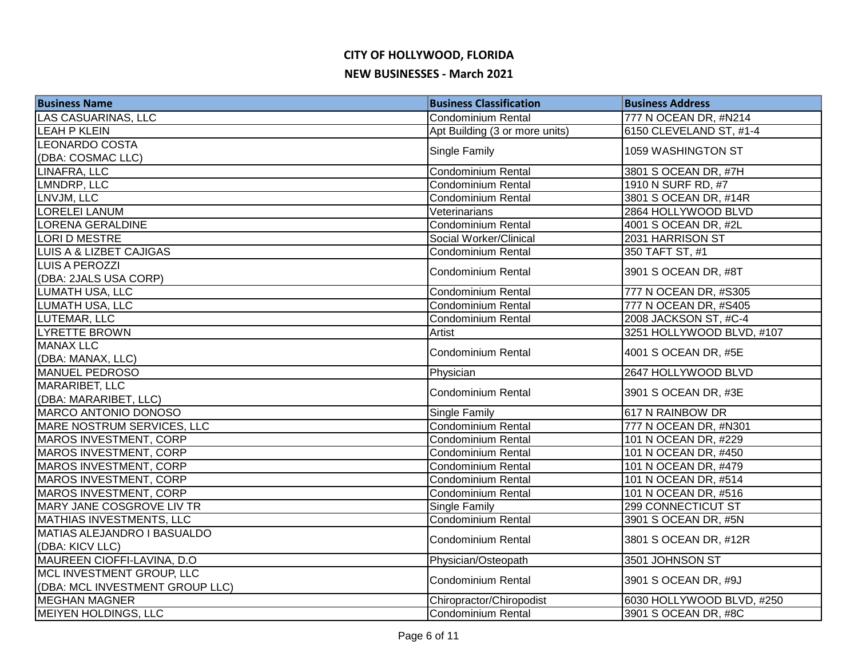| <b>Business Name</b>               | <b>Business Classification</b> | <b>Business Address</b>   |
|------------------------------------|--------------------------------|---------------------------|
| <b>LAS CASUARINAS, LLC</b>         | Condominium Rental             | 777 N OCEAN DR, #N214     |
| <b>LEAH P KLEIN</b>                | Apt Building (3 or more units) | 6150 CLEVELAND ST, #1-4   |
| <b>LEONARDO COSTA</b>              | Single Family                  | 1059 WASHINGTON ST        |
| (DBA: COSMAC LLC)                  |                                |                           |
| <b>LINAFRA, LLC</b>                | Condominium Rental             | 3801 S OCEAN DR, #7H      |
| LMNDRP, LLC                        | <b>Condominium Rental</b>      | 1910 N SURF RD, #7        |
| LNVJM, LLC                         | Condominium Rental             | 3801 S OCEAN DR, #14R     |
| <b>LORELEI LANUM</b>               | Veterinarians                  | 2864 HOLLYWOOD BLVD       |
| <b>LORENA GERALDINE</b>            | Condominium Rental             | 4001 S OCEAN DR, #2L      |
| LORI D MESTRE                      | Social Worker/Clinical         | 2031 HARRISON ST          |
| <b>LUIS A &amp; LIZBET CAJIGAS</b> | Condominium Rental             | 350 TAFT ST, #1           |
| <b>LUIS A PEROZZI</b>              | <b>Condominium Rental</b>      | 3901 S OCEAN DR, #8T      |
| (DBA: 2JALS USA CORP)              |                                |                           |
| LUMATH USA, LLC                    | <b>Condominium Rental</b>      | 777 N OCEAN DR, #S305     |
| <b>LUMATH USA, LLC</b>             | Condominium Rental             | 777 N OCEAN DR, #S405     |
| LUTEMAR, LLC                       | <b>Condominium Rental</b>      | 2008 JACKSON ST, #C-4     |
| LYRETTE BROWN                      | Artist                         | 3251 HOLLYWOOD BLVD, #107 |
| <b>MANAX LLC</b>                   | <b>Condominium Rental</b>      | 4001 S OCEAN DR, #5E      |
| (DBA: MANAX, LLC)                  |                                |                           |
| MANUEL PEDROSO                     | Physician                      | 2647 HOLLYWOOD BLVD       |
| <b>MARARIBET, LLC</b>              | Condominium Rental             | 3901 S OCEAN DR, #3E      |
| (DBA: MARARIBET, LLC)              |                                |                           |
| MARCO ANTONIO DONOSO               | <b>Single Family</b>           | 617 N RAINBOW DR          |
| MARE NOSTRUM SERVICES, LLC         | Condominium Rental             | 777 N OCEAN DR, #N301     |
| MAROS INVESTMENT, CORP             | <b>Condominium Rental</b>      | 101 N OCEAN DR, #229      |
| <b>MAROS INVESTMENT, CORP</b>      | Condominium Rental             | 101 N OCEAN DR, #450      |
| <b>MAROS INVESTMENT, CORP</b>      | <b>Condominium Rental</b>      | 101 N OCEAN DR, #479      |
| <b>MAROS INVESTMENT, CORP</b>      | Condominium Rental             | 101 N OCEAN DR, #514      |
| <b>MAROS INVESTMENT, CORP</b>      | Condominium Rental             | 101 N OCEAN DR, #516      |
| MARY JANE COSGROVE LIV TR          | <b>Single Family</b>           | 299 CONNECTICUT ST        |
| MATHIAS INVESTMENTS, LLC           | Condominium Rental             | 3901 S OCEAN DR, #5N      |
| <b>MATIAS ALEJANDRO I BASUALDO</b> | <b>Condominium Rental</b>      | 3801 S OCEAN DR, #12R     |
| (DBA: KICV LLC)                    |                                |                           |
| MAUREEN CIOFFI-LAVINA, D.O         | Physician/Osteopath            | 3501 JOHNSON ST           |
| MCL INVESTMENT GROUP, LLC          | <b>Condominium Rental</b>      | 3901 S OCEAN DR, #9J      |
| (DBA: MCL INVESTMENT GROUP LLC)    |                                |                           |
| <b>MEGHAN MAGNER</b>               | Chiropractor/Chiropodist       | 6030 HOLLYWOOD BLVD, #250 |
| <b>MEIYEN HOLDINGS, LLC</b>        | Condominium Rental             | 3901 S OCEAN DR, #8C      |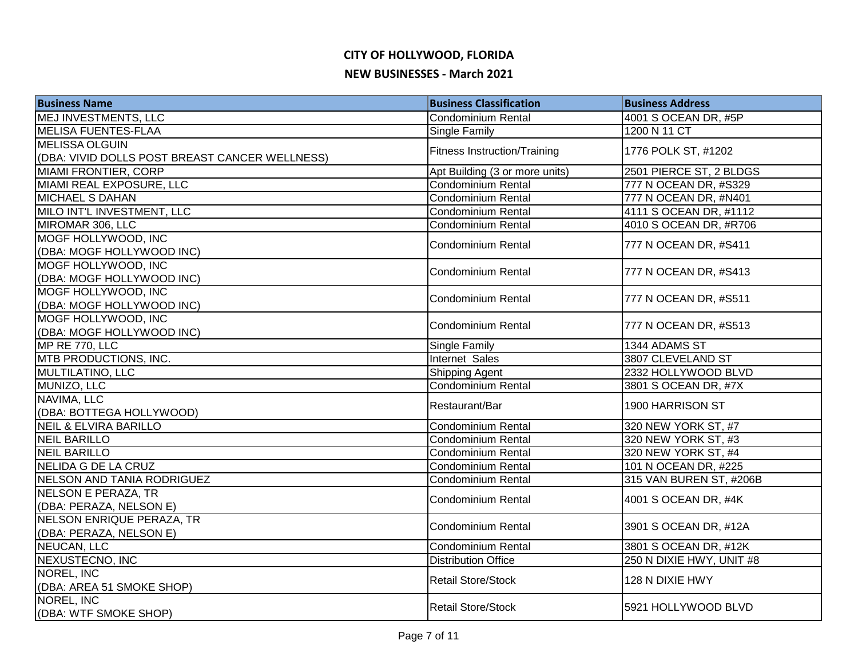# **CITY OF HOLLYWOOD, FLORIDA**

#### **NEW BUSINESSES - March 2021**

| <b>Business Name</b>                           | <b>Business Classification</b>      | <b>Business Address</b>  |
|------------------------------------------------|-------------------------------------|--------------------------|
| MEJ INVESTMENTS, LLC                           | Condominium Rental                  | 4001 S OCEAN DR, #5P     |
| <b>MELISA FUENTES-FLAA</b>                     | Single Family                       | 1200 N 11 CT             |
| <b>MELISSA OLGUIN</b>                          | <b>Fitness Instruction/Training</b> | 1776 POLK ST, #1202      |
| (DBA: VIVID DOLLS POST BREAST CANCER WELLNESS) |                                     |                          |
| <b>MIAMI FRONTIER, CORP</b>                    | Apt Building (3 or more units)      | 2501 PIERCE ST, 2 BLDGS  |
| MIAMI REAL EXPOSURE, LLC                       | Condominium Rental                  | 777 N OCEAN DR, #S329    |
| <b>MICHAEL S DAHAN</b>                         | Condominium Rental                  | 777 N OCEAN DR, #N401    |
| MILO INT'L INVESTMENT, LLC                     | Condominium Rental                  | 4111 S OCEAN DR, #1112   |
| MIROMAR 306, LLC                               | Condominium Rental                  | 4010 S OCEAN DR, #R706   |
| MOGF HOLLYWOOD, INC                            | <b>Condominium Rental</b>           | 777 N OCEAN DR, #S411    |
| (DBA: MOGF HOLLYWOOD INC)                      |                                     |                          |
| MOGF HOLLYWOOD, INC                            | <b>Condominium Rental</b>           | 777 N OCEAN DR, #S413    |
| (DBA: MOGF HOLLYWOOD INC)                      |                                     |                          |
| MOGF HOLLYWOOD, INC                            | <b>Condominium Rental</b>           | 777 N OCEAN DR, #S511    |
| (DBA: MOGF HOLLYWOOD INC)                      |                                     |                          |
| MOGF HOLLYWOOD, INC                            | Condominium Rental                  | 777 N OCEAN DR, #S513    |
| (DBA: MOGF HOLLYWOOD INC)                      |                                     |                          |
| MP RE 770, LLC                                 | <b>Single Family</b>                | 1344 ADAMS ST            |
| MTB PRODUCTIONS, INC.                          | Internet Sales                      | 3807 CLEVELAND ST        |
| MULTILATINO, LLC                               | Shipping Agent                      | 2332 HOLLYWOOD BLVD      |
| MUNIZO, LLC                                    | Condominium Rental                  | 3801 S OCEAN DR, #7X     |
| NAVIMA, LLC                                    | Restaurant/Bar                      | 1900 HARRISON ST         |
| (DBA: BOTTEGA HOLLYWOOD)                       |                                     |                          |
| <b>NEIL &amp; ELVIRA BARILLO</b>               | Condominium Rental                  | 320 NEW YORK ST, #7      |
| <b>NEIL BARILLO</b>                            | <b>Condominium Rental</b>           | 320 NEW YORK ST, #3      |
| <b>NEIL BARILLO</b>                            | <b>Condominium Rental</b>           | 320 NEW YORK ST, #4      |
| <b>NELIDA G DE LA CRUZ</b>                     | Condominium Rental                  | 101 N OCEAN DR, #225     |
| <b>NELSON AND TANIA RODRIGUEZ</b>              | <b>Condominium Rental</b>           | 315 VAN BUREN ST, #206B  |
| <b>NELSON E PERAZA, TR</b>                     | Condominium Rental                  | 4001 S OCEAN DR, #4K     |
| (DBA: PERAZA, NELSON E)                        |                                     |                          |
| NELSON ENRIQUE PERAZA, TR                      | <b>Condominium Rental</b>           | 3901 S OCEAN DR, #12A    |
| (DBA: PERAZA, NELSON E)                        |                                     |                          |
| NEUCAN, LLC                                    | Condominium Rental                  | 3801 S OCEAN DR, #12K    |
| NEXUSTECNO, INC                                | <b>Distribution Office</b>          | 250 N DIXIE HWY, UNIT #8 |
| NOREL, INC                                     | <b>Retail Store/Stock</b>           | 128 N DIXIE HWY          |
| (DBA: AREA 51 SMOKE SHOP)                      |                                     |                          |
| NOREL, INC                                     | <b>Retail Store/Stock</b>           | 5921 HOLLYWOOD BLVD      |
| (DBA: WTF SMOKE SHOP)                          |                                     |                          |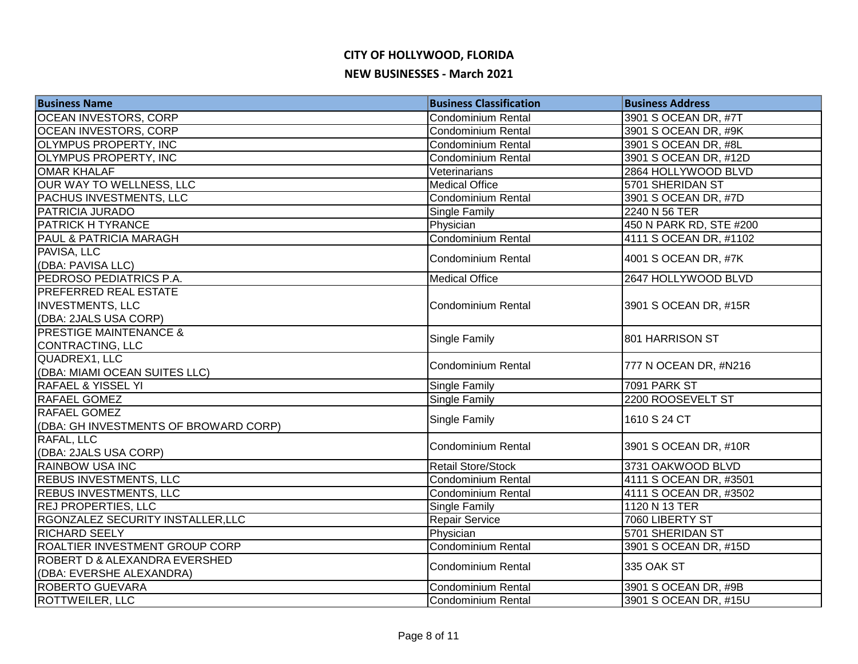| <b>Business Name</b>                  | <b>Business Classification</b> | <b>Business Address</b> |
|---------------------------------------|--------------------------------|-------------------------|
| OCEAN INVESTORS, CORP                 | Condominium Rental             | 3901 S OCEAN DR, #7T    |
| <b>OCEAN INVESTORS, CORP</b>          | <b>Condominium Rental</b>      | 3901 S OCEAN DR, #9K    |
| <b>OLYMPUS PROPERTY, INC</b>          | Condominium Rental             | 3901 S OCEAN DR, #8L    |
| <b>OLYMPUS PROPERTY, INC</b>          | Condominium Rental             | 3901 S OCEAN DR, #12D   |
| <b>OMAR KHALAF</b>                    | Veterinarians                  | 2864 HOLLYWOOD BLVD     |
| <b>OUR WAY TO WELLNESS, LLC</b>       | <b>Medical Office</b>          | 5701 SHERIDAN ST        |
| <b>PACHUS INVESTMENTS, LLC</b>        | <b>Condominium Rental</b>      | 3901 S OCEAN DR, #7D    |
| <b>PATRICIA JURADO</b>                | Single Family                  | 2240 N 56 TER           |
| <b>PATRICK H TYRANCE</b>              | Physician                      | 450 N PARK RD, STE #200 |
| <b>PAUL &amp; PATRICIA MARAGH</b>     | <b>Condominium Rental</b>      | 4111 S OCEAN DR, #1102  |
| PAVISA, LLC                           | Condominium Rental             | 4001 S OCEAN DR, #7K    |
| (DBA: PAVISA LLC)                     |                                |                         |
| PEDROSO PEDIATRICS P.A.               | <b>Medical Office</b>          | 2647 HOLLYWOOD BLVD     |
| <b>PREFERRED REAL ESTATE</b>          |                                |                         |
| <b>INVESTMENTS, LLC</b>               | <b>Condominium Rental</b>      | 3901 S OCEAN DR, #15R   |
| (DBA: 2JALS USA CORP)                 |                                |                         |
| <b>PRESTIGE MAINTENANCE &amp;</b>     | Single Family                  | 801 HARRISON ST         |
| CONTRACTING, LLC                      |                                |                         |
| QUADREX1, LLC                         | <b>Condominium Rental</b>      | 777 N OCEAN DR, #N216   |
| (DBA: MIAMI OCEAN SUITES LLC)         |                                |                         |
| <b>RAFAEL &amp; YISSEL YI</b>         | Single Family                  | 7091 PARK ST            |
| <b>RAFAEL GOMEZ</b>                   | <b>Single Family</b>           | 2200 ROOSEVELT ST       |
| <b>RAFAEL GOMEZ</b>                   | Single Family                  | 1610 S 24 CT            |
| (DBA: GH INVESTMENTS OF BROWARD CORP) |                                |                         |
| RAFAL, LLC                            | <b>Condominium Rental</b>      | 3901 S OCEAN DR, #10R   |
| (DBA: 2JALS USA CORP)                 |                                |                         |
| <b>RAINBOW USA INC</b>                | <b>Retail Store/Stock</b>      | 3731 OAKWOOD BLVD       |
| <b>REBUS INVESTMENTS, LLC</b>         | <b>Condominium Rental</b>      | 4111 S OCEAN DR, #3501  |
| <b>REBUS INVESTMENTS, LLC</b>         | <b>Condominium Rental</b>      | 4111 S OCEAN DR, #3502  |
| <b>REJ PROPERTIES, LLC</b>            | Single Family                  | 1120 N 13 TER           |
| RGONZALEZ SECURITY INSTALLER, LLC     | Repair Service                 | 7060 LIBERTY ST         |
| <b>RICHARD SEELY</b>                  | Physician                      | 5701 SHERIDAN ST        |
| ROALTIER INVESTMENT GROUP CORP        | <b>Condominium Rental</b>      | 3901 S OCEAN DR, #15D   |
| ROBERT D & ALEXANDRA EVERSHED         | Condominium Rental             | 335 OAK ST              |
| (DBA: EVERSHE ALEXANDRA)              |                                |                         |
| <b>ROBERTO GUEVARA</b>                | Condominium Rental             | 3901 S OCEAN DR, #9B    |
| <b>ROTTWEILER, LLC</b>                | <b>Condominium Rental</b>      | 3901 S OCEAN DR, #15U   |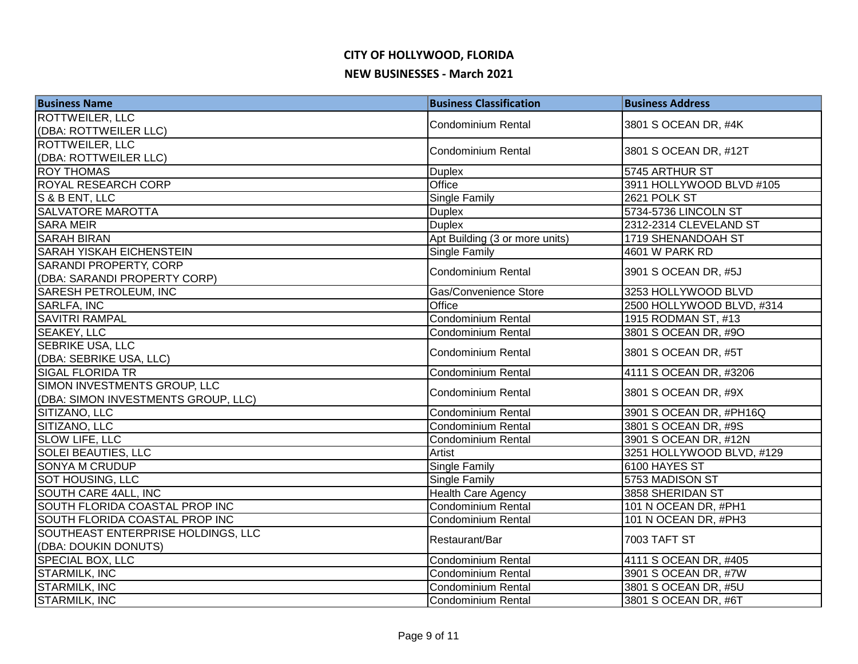| <b>Business Name</b>                | <b>Business Classification</b> | <b>Business Address</b>   |
|-------------------------------------|--------------------------------|---------------------------|
| <b>ROTTWEILER, LLC</b>              | <b>Condominium Rental</b>      | 3801 S OCEAN DR, #4K      |
| (DBA: ROTTWEILER LLC)               |                                |                           |
| ROTTWEILER, LLC                     | <b>Condominium Rental</b>      | 3801 S OCEAN DR, #12T     |
| (DBA: ROTTWEILER LLC)               |                                |                           |
| <b>ROY THOMAS</b>                   | <b>Duplex</b>                  | 5745 ARTHUR ST            |
| ROYAL RESEARCH CORP                 | Office                         | 3911 HOLLYWOOD BLVD #105  |
| S & B ENT, LLC                      | Single Family                  | 2621 POLK ST              |
| <b>SALVATORE MAROTTA</b>            | <b>Duplex</b>                  | 5734-5736 LINCOLN ST      |
| <b>SARA MEIR</b>                    | <b>Duplex</b>                  | 2312-2314 CLEVELAND ST    |
| <b>SARAH BIRAN</b>                  | Apt Building (3 or more units) | 1719 SHENANDOAH ST        |
| SARAH YISKAH EICHENSTEIN            | Single Family                  | 4601 W PARK RD            |
| SARANDI PROPERTY, CORP              | Condominium Rental             | 3901 S OCEAN DR, #5J      |
| (DBA: SARANDI PROPERTY CORP)        |                                |                           |
| <b>SARESH PETROLEUM, INC</b>        | Gas/Convenience Store          | 3253 HOLLYWOOD BLVD       |
| <b>SARLFA, INC</b>                  | Office                         | 2500 HOLLYWOOD BLVD, #314 |
| <b>SAVITRI RAMPAL</b>               | Condominium Rental             | 1915 RODMAN ST, #13       |
| <b>SEAKEY, LLC</b>                  | Condominium Rental             | 3801 S OCEAN DR, #9O      |
| <b>SEBRIKE USA, LLC</b>             | <b>Condominium Rental</b>      | 3801 S OCEAN DR, #5T      |
| (DBA: SEBRIKE USA, LLC)             |                                |                           |
| <b>SIGAL FLORIDA TR</b>             | <b>Condominium Rental</b>      | 4111 S OCEAN DR, #3206    |
| SIMON INVESTMENTS GROUP, LLC        | Condominium Rental             | 3801 S OCEAN DR, #9X      |
| (DBA: SIMON INVESTMENTS GROUP, LLC) |                                |                           |
| SITIZANO, LLC                       | Condominium Rental             | 3901 S OCEAN DR, #PH16Q   |
| SITIZANO, LLC                       | <b>Condominium Rental</b>      | 3801 S OCEAN DR, #9S      |
| SLOW LIFE, LLC                      | <b>Condominium Rental</b>      | 3901 S OCEAN DR, #12N     |
| <b>SOLEI BEAUTIES, LLC</b>          | Artist                         | 3251 HOLLYWOOD BLVD, #129 |
| <b>SONYA M CRUDUP</b>               | Single Family                  | 6100 HAYES ST             |
| <b>SOT HOUSING, LLC</b>             | Single Family                  | 5753 MADISON ST           |
| SOUTH CARE 4ALL, INC                | <b>Health Care Agency</b>      | 3858 SHERIDAN ST          |
| SOUTH FLORIDA COASTAL PROP INC      | <b>Condominium Rental</b>      | 101 N OCEAN DR, #PH1      |
| SOUTH FLORIDA COASTAL PROP INC      | Condominium Rental             | 101 N OCEAN DR, #PH3      |
| SOUTHEAST ENTERPRISE HOLDINGS, LLC  | Restaurant/Bar                 | <b>7003 TAFT ST</b>       |
| (DBA: DOUKIN DONUTS)                |                                |                           |
| <b>SPECIAL BOX, LLC</b>             | Condominium Rental             | 4111 S OCEAN DR, #405     |
| <b>STARMILK, INC</b>                | <b>Condominium Rental</b>      | 3901 S OCEAN DR, #7W      |
| <b>STARMILK, INC</b>                | Condominium Rental             | 3801 S OCEAN DR, #5U      |
| <b>STARMILK, INC</b>                | Condominium Rental             | 3801 S OCEAN DR, #6T      |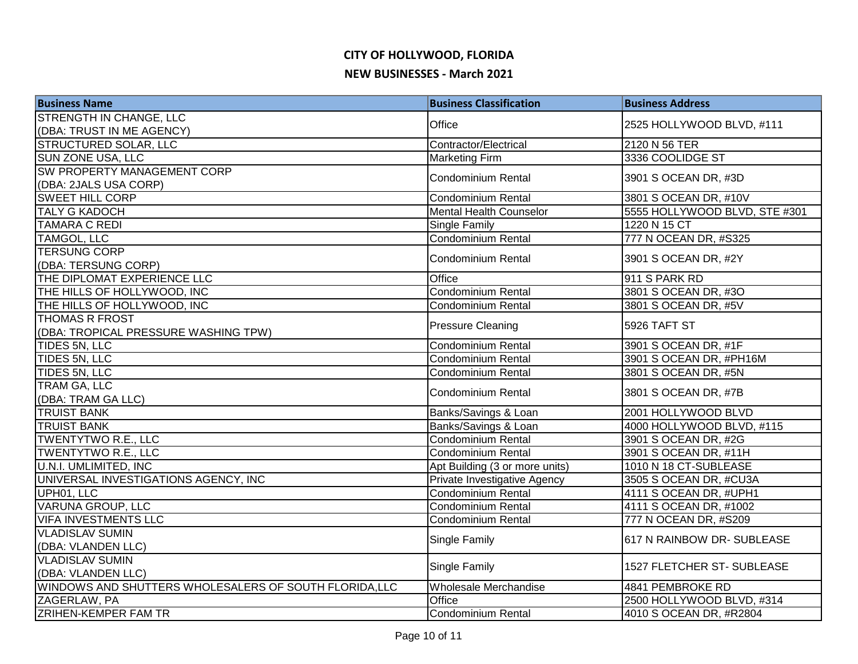| <b>Business Name</b>                                   | <b>Business Classification</b> | <b>Business Address</b>       |
|--------------------------------------------------------|--------------------------------|-------------------------------|
| <b>STRENGTH IN CHANGE, LLC</b>                         | Office                         | 2525 HOLLYWOOD BLVD, #111     |
| (DBA: TRUST IN ME AGENCY)                              |                                |                               |
| <b>STRUCTURED SOLAR, LLC</b>                           | Contractor/Electrical          | 2120 N 56 TER                 |
| <b>SUN ZONE USA, LLC</b>                               | <b>Marketing Firm</b>          | 3336 COOLIDGE ST              |
| <b>SW PROPERTY MANAGEMENT CORP</b>                     | Condominium Rental             | 3901 S OCEAN DR, #3D          |
| (DBA: 2JALS USA CORP)                                  |                                |                               |
| <b>SWEET HILL CORP</b>                                 | <b>Condominium Rental</b>      | 3801 S OCEAN DR, #10V         |
| <b>TALY G KADOCH</b>                                   | <b>Mental Health Counselor</b> | 5555 HOLLYWOOD BLVD, STE #301 |
| <b>TAMARA C REDI</b>                                   | <b>Single Family</b>           | 1220 N 15 CT                  |
| <b>TAMGOL, LLC</b>                                     | <b>Condominium Rental</b>      | 777 N OCEAN DR, #S325         |
| <b>TERSUNG CORP</b>                                    | <b>Condominium Rental</b>      | 3901 S OCEAN DR, #2Y          |
| (DBA: TERSUNG CORP)                                    |                                |                               |
| THE DIPLOMAT EXPERIENCE LLC                            | Office                         | 911 S PARK RD                 |
| THE HILLS OF HOLLYWOOD, INC                            | Condominium Rental             | 3801 S OCEAN DR, #3O          |
| THE HILLS OF HOLLYWOOD, INC                            | Condominium Rental             | 3801 S OCEAN DR, #5V          |
| <b>THOMAS R FROST</b>                                  | <b>Pressure Cleaning</b>       | 5926 TAFT ST                  |
| (DBA: TROPICAL PRESSURE WASHING TPW)                   |                                |                               |
| TIDES 5N, LLC                                          | Condominium Rental             | 3901 S OCEAN DR, #1F          |
| TIDES 5N, LLC                                          | Condominium Rental             | 3901 S OCEAN DR, #PH16M       |
| TIDES 5N, LLC                                          | Condominium Rental             | 3801 S OCEAN DR, #5N          |
| TRAM GA, LLC                                           | <b>Condominium Rental</b>      | 3801 S OCEAN DR, #7B          |
| (DBA: TRAM GA LLC)                                     |                                |                               |
| <b>TRUIST BANK</b>                                     | Banks/Savings & Loan           | 2001 HOLLYWOOD BLVD           |
| <b>TRUIST BANK</b>                                     | Banks/Savings & Loan           | 4000 HOLLYWOOD BLVD, #115     |
| <b>TWENTYTWO R.E., LLC</b>                             | <b>Condominium Rental</b>      | 3901 S OCEAN DR, #2G          |
| <b>TWENTYTWO R.E., LLC</b>                             | Condominium Rental             | 3901 S OCEAN DR, #11H         |
| <b>U.N.I. UMLIMITED, INC</b>                           | Apt Building (3 or more units) | 1010 N 18 CT-SUBLEASE         |
| UNIVERSAL INVESTIGATIONS AGENCY, INC                   | Private Investigative Agency   | 3505 S OCEAN DR, #CU3A        |
| UPH01, LLC                                             | <b>Condominium Rental</b>      | 4111 S OCEAN DR, #UPH1        |
| <b>VARUNA GROUP, LLC</b>                               | Condominium Rental             | 4111 S OCEAN DR, #1002        |
| <b>VIFA INVESTMENTS LLC</b>                            | <b>Condominium Rental</b>      | 777 N OCEAN DR, #S209         |
| <b>VLADISLAV SUMIN</b>                                 | <b>Single Family</b>           | 617 N RAINBOW DR- SUBLEASE    |
| (DBA: VLANDEN LLC)                                     |                                |                               |
| <b>VLADISLAV SUMIN</b>                                 | <b>Single Family</b>           | 1527 FLETCHER ST- SUBLEASE    |
| (DBA: VLANDEN LLC)                                     |                                |                               |
| WINDOWS AND SHUTTERS WHOLESALERS OF SOUTH FLORIDA, LLC | Wholesale Merchandise          | 4841 PEMBROKE RD              |
| ZAGERLAW, PA                                           | Office                         | 2500 HOLLYWOOD BLVD, #314     |
| <b>ZRIHEN-KEMPER FAM TR</b>                            | Condominium Rental             | 4010 S OCEAN DR, #R2804       |